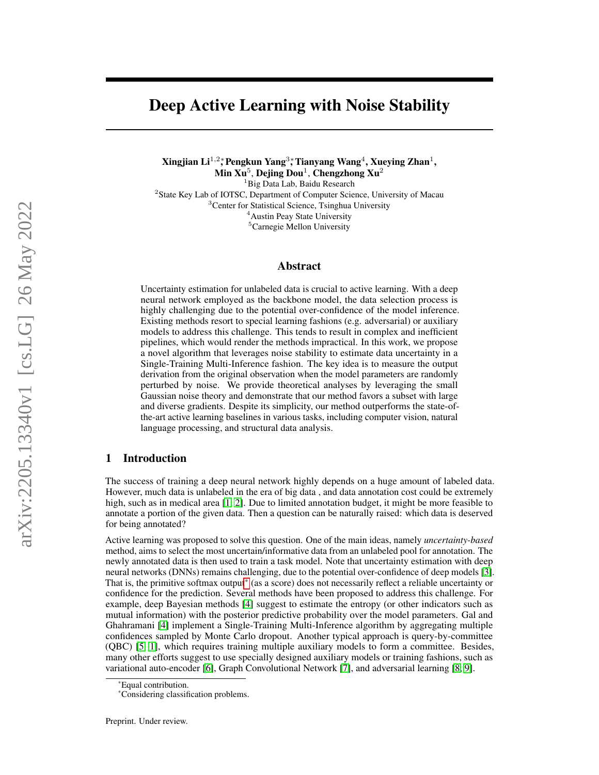# Deep Active Learning with Noise Stability

Xingjian Li $^{1,2}$ ; Pengkun Yang $^{3}$ ; Tianyang Wang $^{4}$ , Xueying Zhan $^{1}$ , Min  ${\rm Xu}^5$ , Dejing Dou $^1$ , Chengzhong  ${\rm Xu}^2$ <sup>1</sup>Big Data Lab, Baidu Research <sup>2</sup> State Key Lab of IOTSC, Department of Computer Science, University of Macau <sup>3</sup>Center for Statistical Science, Tsinghua University <sup>4</sup>Austin Peay State University <sup>5</sup>Carnegie Mellon University

# Abstract

Uncertainty estimation for unlabeled data is crucial to active learning. With a deep neural network employed as the backbone model, the data selection process is highly challenging due to the potential over-confidence of the model inference. Existing methods resort to special learning fashions (e.g. adversarial) or auxiliary models to address this challenge. This tends to result in complex and inefficient pipelines, which would render the methods impractical. In this work, we propose a novel algorithm that leverages noise stability to estimate data uncertainty in a Single-Training Multi-Inference fashion. The key idea is to measure the output derivation from the original observation when the model parameters are randomly perturbed by noise. We provide theoretical analyses by leveraging the small Gaussian noise theory and demonstrate that our method favors a subset with large and diverse gradients. Despite its simplicity, our method outperforms the state-ofthe-art active learning baselines in various tasks, including computer vision, natural language processing, and structural data analysis.

## 1 Introduction

The success of training a deep neural network highly depends on a huge amount of labeled data. However, much data is unlabeled in the era of big data , and data annotation cost could be extremely high, such as in medical area [\[1,](#page-9-0) [2\]](#page-9-1). Due to limited annotation budget, it might be more feasible to annotate a portion of the given data. Then a question can be naturally raised: which data is deserved for being annotated?

Active learning was proposed to solve this question. One of the main ideas, namely *uncertainty-based* method, aims to select the most uncertain/informative data from an unlabeled pool for annotation. The newly annotated data is then used to train a task model. Note that uncertainty estimation with deep neural networks (DNNs) remains challenging, due to the potential over-confidence of deep models [\[3\]](#page-9-2). That is, the primitive softmax output[\\*](#page-0-0) (as a score) does not necessarily reflect a reliable uncertainty or confidence for the prediction. Several methods have been proposed to address this challenge. For example, deep Bayesian methods [\[4\]](#page-9-3) suggest to estimate the entropy (or other indicators such as mutual information) with the posterior predictive probability over the model parameters. Gal and Ghahramani [\[4\]](#page-9-3) implement a Single-Training Multi-Inference algorithm by aggregating multiple confidences sampled by Monte Carlo dropout. Another typical approach is query-by-committee (QBC) [\[5,](#page-9-4) [1\]](#page-9-0), which requires training multiple auxiliary models to form a committee. Besides, many other efforts suggest to use specially designed auxiliary models or training fashions, such as variational auto-encoder [\[6\]](#page-9-5), Graph Convolutional Network [\[7\]](#page-9-6), and adversarial learning [\[8,](#page-9-7) [9\]](#page-9-8).

<sup>\*</sup>Equal contribution.

<span id="page-0-0"></span><sup>\*</sup>Considering classification problems.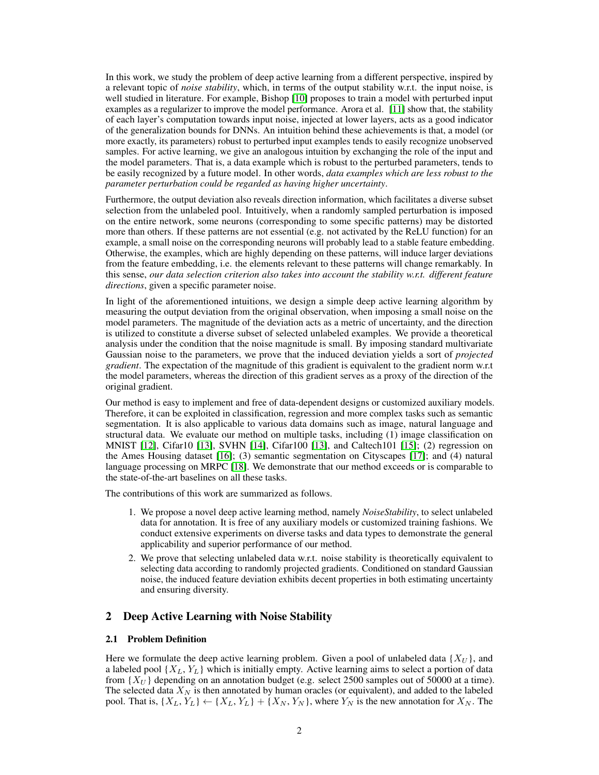In this work, we study the problem of deep active learning from a different perspective, inspired by a relevant topic of *noise stability*, which, in terms of the output stability w.r.t. the input noise, is well studied in literature. For example, Bishop [\[10\]](#page-9-9) proposes to train a model with perturbed input examples as a regularizer to improve the model performance. Arora et al. [\[11\]](#page-9-10) show that, the stability of each layer's computation towards input noise, injected at lower layers, acts as a good indicator of the generalization bounds for DNNs. An intuition behind these achievements is that, a model (or more exactly, its parameters) robust to perturbed input examples tends to easily recognize unobserved samples. For active learning, we give an analogous intuition by exchanging the role of the input and the model parameters. That is, a data example which is robust to the perturbed parameters, tends to be easily recognized by a future model. In other words, *data examples which are less robust to the parameter perturbation could be regarded as having higher uncertainty*.

Furthermore, the output deviation also reveals direction information, which facilitates a diverse subset selection from the unlabeled pool. Intuitively, when a randomly sampled perturbation is imposed on the entire network, some neurons (corresponding to some specific patterns) may be distorted more than others. If these patterns are not essential (e.g. not activated by the ReLU function) for an example, a small noise on the corresponding neurons will probably lead to a stable feature embedding. Otherwise, the examples, which are highly depending on these patterns, will induce larger deviations from the feature embedding, i.e. the elements relevant to these patterns will change remarkably. In this sense, *our data selection criterion also takes into account the stability w.r.t. different feature directions*, given a specific parameter noise.

In light of the aforementioned intuitions, we design a simple deep active learning algorithm by measuring the output deviation from the original observation, when imposing a small noise on the model parameters. The magnitude of the deviation acts as a metric of uncertainty, and the direction is utilized to constitute a diverse subset of selected unlabeled examples. We provide a theoretical analysis under the condition that the noise magnitude is small. By imposing standard multivariate Gaussian noise to the parameters, we prove that the induced deviation yields a sort of *projected gradient*. The expectation of the magnitude of this gradient is equivalent to the gradient norm w.r.t the model parameters, whereas the direction of this gradient serves as a proxy of the direction of the original gradient.

Our method is easy to implement and free of data-dependent designs or customized auxiliary models. Therefore, it can be exploited in classification, regression and more complex tasks such as semantic segmentation. It is also applicable to various data domains such as image, natural language and structural data. We evaluate our method on multiple tasks, including (1) image classification on MNIST [\[12\]](#page-9-11), Cifar10 [\[13\]](#page-9-12), SVHN [\[14\]](#page-9-13), Cifar100 [\[13\]](#page-9-12), and Caltech101 [\[15\]](#page-9-14); (2) regression on the Ames Housing dataset [\[16\]](#page-9-15); (3) semantic segmentation on Cityscapes [\[17\]](#page-9-16); and (4) natural language processing on MRPC [\[18\]](#page-9-17). We demonstrate that our method exceeds or is comparable to the state-of-the-art baselines on all these tasks.

The contributions of this work are summarized as follows.

- 1. We propose a novel deep active learning method, namely *NoiseStability*, to select unlabeled data for annotation. It is free of any auxiliary models or customized training fashions. We conduct extensive experiments on diverse tasks and data types to demonstrate the general applicability and superior performance of our method.
- 2. We prove that selecting unlabeled data w.r.t. noise stability is theoretically equivalent to selecting data according to randomly projected gradients. Conditioned on standard Gaussian noise, the induced feature deviation exhibits decent properties in both estimating uncertainty and ensuring diversity.

# 2 Deep Active Learning with Noise Stability

### 2.1 Problem Definition

Here we formulate the deep active learning problem. Given a pool of unlabeled data  $\{X_U\}$ , and a labeled pool  $\{X_L, Y_L\}$  which is initially empty. Active learning aims to select a portion of data from  $\{X_U\}$  depending on an annotation budget (e.g. select 2500 samples out of 50000 at a time). The selected data  $X_N$  is then annotated by human oracles (or equivalent), and added to the labeled pool. That is,  $\{X_L, Y_L\} \leftarrow \{X_L, Y_L\} + \{X_N, Y_N\}$ , where  $Y_N$  is the new annotation for  $X_N$ . The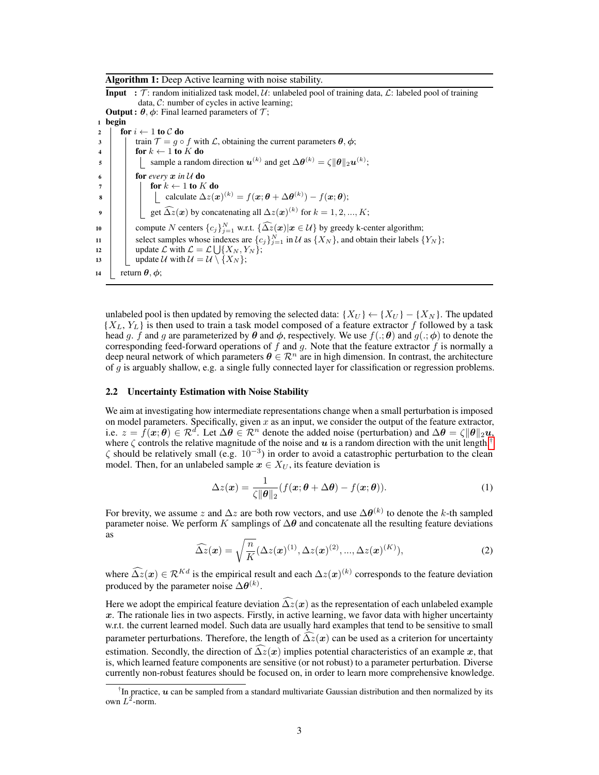Algorithm 1: Deep Active learning with noise stability.

**Input** :  $\mathcal{T}$ : random initialized task model,  $\mathcal{U}$ : unlabeled pool of training data,  $\mathcal{L}$ : labeled pool of training data, C: number of cycles in active learning; **Output :**  $\theta$ ,  $\phi$ : Final learned parameters of  $\mathcal{T}$ ; <sup>1</sup> begin 2 for  $i \leftarrow 1$  to  $C$  do 3 train  $\mathcal{T} = q \circ f$  with L, obtaining the current parameters  $\theta$ ,  $\phi$ ; 4 | for  $k \leftarrow 1$  to K do 5  $\|\cdot\|$  sample a random direction  $u^{(k)}$  and get  $\Delta \theta^{(k)} = \zeta \|\theta\|_2 u^{(k)}$ ; 6 **for** *every*  $x$  in U do 7 | | for  $k \leftarrow 1$  to  $K$  do 8  $\begin{array}{|c|c|} \hline \end{array}$  calculate  $\Delta z(\bm{x})^{(k)}=f(\bm{x}; \bm{\theta}+\Delta \bm{\theta}^{(k)})-f(\bm{x}; \bm{\theta});$ 9  $\Box$  get  $\widehat{\Delta z}(\boldsymbol{x})$  by concatenating all  $\Delta z(\boldsymbol{x})^{(k)}$  for  $k = 1, 2, ..., K;$ 10 compute N centers  ${c_j}_{j=1}^N$  w.r.t.  ${\{\widehat{\Delta z}(\boldsymbol{x}) | \boldsymbol{x} \in \mathcal{U}\}}$  by greedy k-center algorithm; 11 | select samples whose indexes are  $\{c_j\}_{j=1}^N$  in U as  $\{X_N\}$ , and obtain their labels  $\{Y_N\}$ ; 12 | update  $\mathcal{L}$  with  $\mathcal{L} = \mathcal{L} \bigcup \{X_N, Y_N\};$ 13 | update U with  $U = U \setminus \{X_N\};$ 14  $\vert$  return  $\theta$ ,  $\phi$ ;

<span id="page-2-1"></span>unlabeled pool is then updated by removing the selected data:  ${X_U} \leftarrow {X_U} - {X_N}$ . The updated  ${X_L, Y_L}$  is then used to train a task model composed of a feature extractor f followed by a task head g. f and g are parameterized by  $\theta$  and  $\phi$ , respectively. We use  $f(.;\theta)$  and  $g(.;\phi)$  to denote the corresponding feed-forward operations of f and g. Note that the feature extractor f is normally a deep neural network of which parameters  $\boldsymbol{\theta} \in \mathcal{R}^n$  are in high dimension. In contrast, the architecture of  $g$  is arguably shallow, e.g. a single fully connected layer for classification or regression problems.

### 2.2 Uncertainty Estimation with Noise Stability

We aim at investigating how intermediate representations change when a small perturbation is imposed on model parameters. Specifically, given  $x$  as an input, we consider the output of the feature extractor, i.e.  $z = \bar{f}(\mathbf{x}; \theta) \in \mathbb{R}^d$ . Let  $\Delta \theta \in \mathbb{R}^n$  denote the added noise (perturbation) and  $\Delta \theta = \zeta ||\theta||_2 \mathbf{u}$ , where  $\zeta$  controls the relative magnitude of the noise and  $\boldsymbol{u}$  is a random direction with the unit length.<sup>[†](#page-2-0)</sup>  $\zeta$  should be relatively small (e.g.  $10^{-3}$ ) in order to avoid a catastrophic perturbation to the clean model. Then, for an unlabeled sample  $x \in X_U$ , its feature deviation is

$$
\Delta z(\boldsymbol{x}) = \frac{1}{\zeta \|\boldsymbol{\theta}\|_2} (f(\boldsymbol{x}; \boldsymbol{\theta} + \Delta \boldsymbol{\theta}) - f(\boldsymbol{x}; \boldsymbol{\theta})).
$$
\n(1)

<span id="page-2-2"></span>For brevity, we assume z and  $\Delta z$  are both row vectors, and use  $\Delta\bm{\theta}^{(k)}$  to denote the k-th sampled parameter noise. We perform K samplings of  $\Delta\theta$  and concatenate all the resulting feature deviations as

$$
\widehat{\Delta z}(\boldsymbol{x}) = \sqrt{\frac{n}{K}} (\Delta z(\boldsymbol{x})^{(1)}, \Delta z(\boldsymbol{x})^{(2)}, ..., \Delta z(\boldsymbol{x})^{(K)}),
$$
\n(2)

where  $\widehat{\Delta z}(x) \in \mathcal{R}^{Kd}$  is the empirical result and each  $\Delta z(x)^{(k)}$  corresponds to the feature deviation produced by the parameter noise  $\Delta\theta^{(k)}$ .

Here we adopt the empirical feature deviation  $\widehat{\Delta z}(x)$  as the representation of each unlabeled example  $x$ . The rationale lies in two aspects. Firstly, in active learning, we favor data with higher uncertainty w.r.t. the current learned model. Such data are usually hard examples that tend to be sensitive to small parameter perturbations. Therefore, the length of  $\Delta z(x)$  can be used as a criterion for uncertainty estimation. Secondly, the direction of  $\widehat{\Delta z}(x)$  implies potential characteristics of an example x, that is, which learned feature components are sensitive (or not robust) to a parameter perturbation. Diverse currently non-robust features should be focused on, in order to learn more comprehensive knowledge.

<span id="page-2-0"></span><sup>&</sup>lt;sup>†</sup>In practice,  $u$  can be sampled from a standard multivariate Gaussian distribution and then normalized by its own  $L^2$ -norm.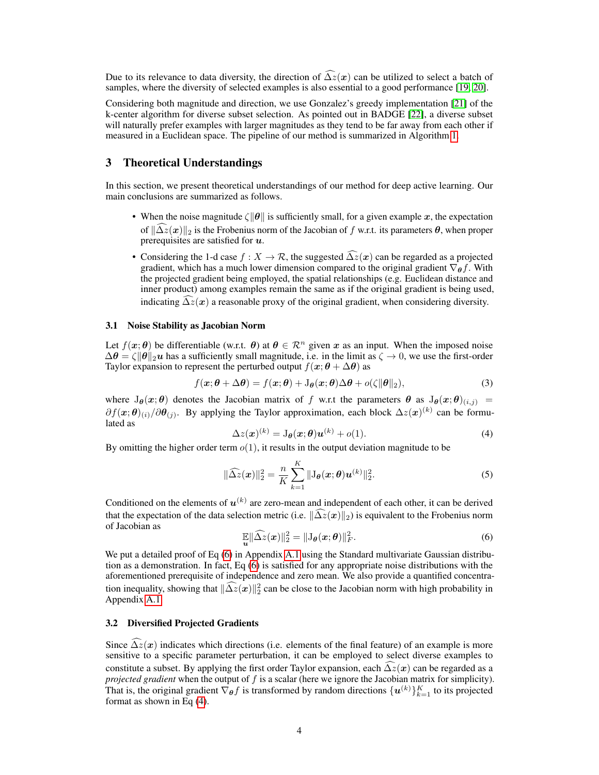Due to its relevance to data diversity, the direction of  $\widehat{\Delta z}(x)$  can be utilized to select a batch of samples, where the diversity of selected examples is also essential to a good performance [\[19,](#page-9-18) [20\]](#page-10-0).

Considering both magnitude and direction, we use Gonzalez's greedy implementation [\[21\]](#page-10-1) of the k-center algorithm for diverse subset selection. As pointed out in BADGE [\[22\]](#page-10-2), a diverse subset will naturally prefer examples with larger magnitudes as they tend to be far away from each other if measured in a Euclidean space. The pipeline of our method is summarized in Algorithm [1.](#page-2-1)

# 3 Theoretical Understandings

In this section, we present theoretical understandings of our method for deep active learning. Our main conclusions are summarized as follows.

- When the noise magnitude  $\zeta ||\theta||$  is sufficiently small, for a given example x, the expectation of  $\|\widehat{\Delta z}(x)\|_2$  is the Frobenius norm of the Jacobian of f w.r.t. its parameters  $\theta$ , when proper prerequisites are satisfied for  $u$ .
- Considering the 1-d case  $f : X \to \mathcal{R}$ , the suggested  $\widehat{\Delta z}(x)$  can be regarded as a projected gradient, which has a much lower dimension compared to the original gradient  $\nabla_{\theta} f$ . With the projected gradient being employed, the spatial relationships (e.g. Euclidean distance and inner product) among examples remain the same as if the original gradient is being used, indicating  $\Delta z(x)$  a reasonable proxy of the original gradient, when considering diversity.

### 3.1 Noise Stability as Jacobian Norm

Let  $f(x; \theta)$  be differentiable (w.r.t.  $\theta$ ) at  $\theta \in \mathbb{R}^n$  given x as an input. When the imposed noise  $\Delta\theta = \zeta \|\theta\|_2 u$  has a sufficiently small magnitude, i.e. in the limit as  $\zeta \to 0$ , we use the first-order Taylor expansion to represent the perturbed output  $f(x; \theta + \Delta\theta)$  as

$$
f(\mathbf{x}; \boldsymbol{\theta} + \Delta \boldsymbol{\theta}) = f(\mathbf{x}; \boldsymbol{\theta}) + J_{\boldsymbol{\theta}}(\mathbf{x}; \boldsymbol{\theta}) \Delta \boldsymbol{\theta} + o(\zeta || \boldsymbol{\theta} ||_2),
$$
\n(3)

<span id="page-3-1"></span>where  $J_{\theta}(x; \theta)$  denotes the Jacobian matrix of f w.r.t the parameters  $\theta$  as  $J_{\theta}(x; \theta)_{(i,j)}$  =  $\partial f(x;\theta)_{(i)}/\partial \theta_{(j)}$ . By applying the Taylor approximation, each block  $\Delta z(x)^{(k)}$  can be formulated as

<span id="page-3-2"></span>
$$
\Delta z(\boldsymbol{x})^{(k)} = \mathcal{J}_{\boldsymbol{\theta}}(\boldsymbol{x};\boldsymbol{\theta})\boldsymbol{u}^{(k)} + o(1). \tag{4}
$$

By omitting the higher order term  $o(1)$ , it results in the output deviation magnitude to be

$$
\|\widehat{\Delta z}(\boldsymbol{x})\|_2^2 = \frac{n}{K} \sum_{k=1}^K \|J_{\boldsymbol{\theta}}(\boldsymbol{x}; \boldsymbol{\theta}) \boldsymbol{u}^{(k)}\|_2^2.
$$
 (5)

<span id="page-3-0"></span>Conditioned on the elements of  $u^{(k)}$  are zero-mean and independent of each other, it can be derived that the expectation of the data selection metric (i.e.  $\|\widehat{\Delta z}(x)\|_2$ ) is equivalent to the Frobenius norm of Jacobian as

$$
\mathbb{E}\|\widehat{\Delta z}(\boldsymbol{x})\|_2^2 = \|\mathbf{J}_{\boldsymbol{\theta}}(\boldsymbol{x};\boldsymbol{\theta})\|_F^2.
$$
\n(6)

We put a detailed proof of Eq [\(6\)](#page-3-0) in Appendix [A.1](#page-13-0) using the Standard multivariate Gaussian distribution as a demonstration. In fact, Eq [\(6\)](#page-3-0) is satisfied for any appropriate noise distributions with the aforementioned prerequisite of independence and zero mean. We also provide a quantified concentration inequality, showing that  $\|\widehat{\Delta z}(x)\|_2^2$  can be close to the Jacobian norm with high probability in Appendix [A.1.](#page-13-0)

### 3.2 Diversified Projected Gradients

Since  $\widehat{\Delta z}(x)$  indicates which directions (i.e. elements of the final feature) of an example is more sensitive to a specific parameter perturbation, it can be employed to select diverse examples to constitute a subset. By applying the first order Taylor expansion, each  $\widehat{\Delta z}(x)$  can be regarded as a *projected gradient* when the output of f is a scalar (here we ignore the Jacobian matrix for simplicity). That is, the original gradient  $\nabla_{\theta} f$  is transformed by random directions  $\{u^{(k)}\}_{k=1}^K$  to its projected format as shown in Eq [\(4\)](#page-3-1).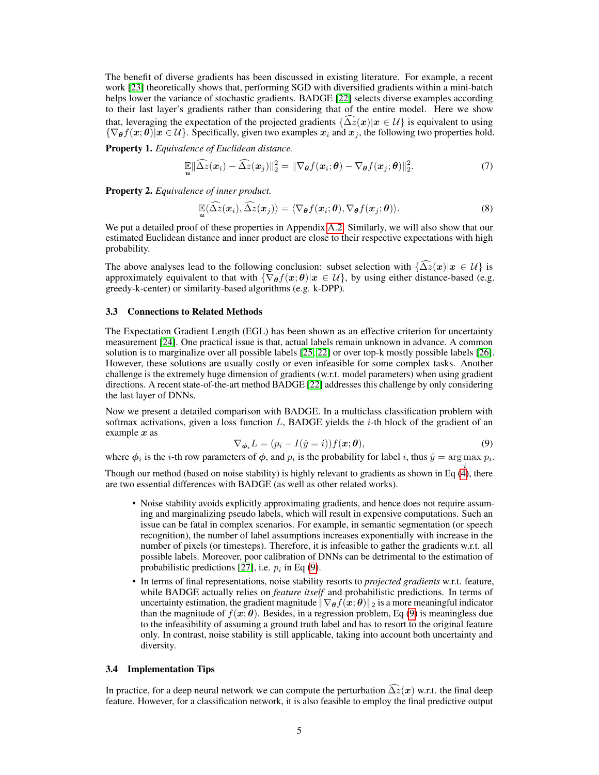The benefit of diverse gradients has been discussed in existing literature. For example, a recent work [\[23\]](#page-10-3) theoretically shows that, performing SGD with diversified gradients within a mini-batch helps lower the variance of stochastic gradients. BADGE [\[22\]](#page-10-2) selects diverse examples according to their last layer's gradients rather than considering that of the entire model. Here we show that, leveraging the expectation of the projected gradients  $\{\Delta z(x)|x \in \mathcal{U}\}\$ is equivalent to using  ${\nabla_{\theta} f(x; \theta)|x \in \mathcal{U}}$ . Specifically, given two examples  $x_i$  and  $x_j$ , the following two properties hold.

Property 1. *Equivalence of Euclidean distance.*

<span id="page-4-1"></span>
$$
\mathbb{E} \|\widehat{\Delta z}(\boldsymbol{x}_i) - \widehat{\Delta z}(\boldsymbol{x}_j)\|_2^2 = \|\nabla_{\boldsymbol{\theta}} f(\boldsymbol{x}_i; \boldsymbol{\theta}) - \nabla_{\boldsymbol{\theta}} f(\boldsymbol{x}_j; \boldsymbol{\theta})\|_2^2.
$$
 (7)

Property 2. *Equivalence of inner product.*

<span id="page-4-2"></span>
$$
\mathbb{E}\langle\widehat{\Delta z}(\boldsymbol{x}_i),\widehat{\Delta z}(\boldsymbol{x}_j)\rangle=\langle\nabla_{\boldsymbol{\theta}}f(\boldsymbol{x}_i;\boldsymbol{\theta}),\nabla_{\boldsymbol{\theta}}f(\boldsymbol{x}_j;\boldsymbol{\theta})\rangle.
$$
 (8)

We put a detailed proof of these properties in Appendix [A.2.](#page-14-0) Similarly, we will also show that our estimated Euclidean distance and inner product are close to their respective expectations with high probability.

The above analyses lead to the following conclusion: subset selection with  $\{\Delta \tilde{z}(x)|x \in \mathcal{U}\}\$ is approximately equivalent to that with  ${\nabla_{\theta} f(x; \theta)|x \in \mathcal{U}}$ , by using either distance-based (e.g. greedy-k-center) or similarity-based algorithms (e.g. k-DPP).

### 3.3 Connections to Related Methods

The Expectation Gradient Length (EGL) has been shown as an effective criterion for uncertainty measurement [\[24\]](#page-10-4). One practical issue is that, actual labels remain unknown in advance. A common solution is to marginalize over all possible labels [\[25,](#page-10-5) [22\]](#page-10-2) or over top-k mostly possible labels [\[26\]](#page-10-6). However, these solutions are usually costly or even infeasible for some complex tasks. Another challenge is the extremely huge dimension of gradients (w.r.t. model parameters) when using gradient directions. A recent state-of-the-art method BADGE [\[22\]](#page-10-2) addresses this challenge by only considering the last layer of DNNs.

<span id="page-4-0"></span>Now we present a detailed comparison with BADGE. In a multiclass classification problem with softmax activations, given a loss function  $L$ , BADGE yields the  $i$ -th block of the gradient of an example  $x$  as

$$
\nabla_{\phi_i} L = (p_i - I(\hat{y} = i)) f(\mathbf{x}; \boldsymbol{\theta}), \tag{9}
$$

where  $\phi_i$  is the *i*-th row parameters of  $\phi$ , and  $p_i$  is the probability for label *i*, thus  $\hat{y} = \arg \max p_i$ .

Though our method (based on noise stability) is highly relevant to gradients as shown in Eq  $(4)$ , there are two essential differences with BADGE (as well as other related works).

- Noise stability avoids explicitly approximating gradients, and hence does not require assuming and marginalizing pseudo labels, which will result in expensive computations. Such an issue can be fatal in complex scenarios. For example, in semantic segmentation (or speech recognition), the number of label assumptions increases exponentially with increase in the number of pixels (or timesteps). Therefore, it is infeasible to gather the gradients w.r.t. all possible labels. Moreover, poor calibration of DNNs can be detrimental to the estimation of probabilistic predictions [\[27\]](#page-10-7), i.e.  $p_i$  in Eq [\(9\)](#page-4-0).
- In terms of final representations, noise stability resorts to *projected gradients* w.r.t. feature, while BADGE actually relies on *feature itself* and probabilistic predictions. In terms of uncertainty estimation, the gradient magnitude  $\|\nabla_{\theta}f(x;\theta)\|_2$  is a more meaningful indicator than the magnitude of  $f(\mathbf{x}; \theta)$ . Besides, in a regression problem, Eq [\(9\)](#page-4-0) is meaningless due to the infeasibility of assuming a ground truth label and has to resort to the original feature only. In contrast, noise stability is still applicable, taking into account both uncertainty and diversity.

### 3.4 Implementation Tips

In practice, for a deep neural network we can compute the perturbation  $\widehat{\Delta}z(x)$  w.r.t. the final deep feature. However, for a classification network, it is also feasible to employ the final predictive output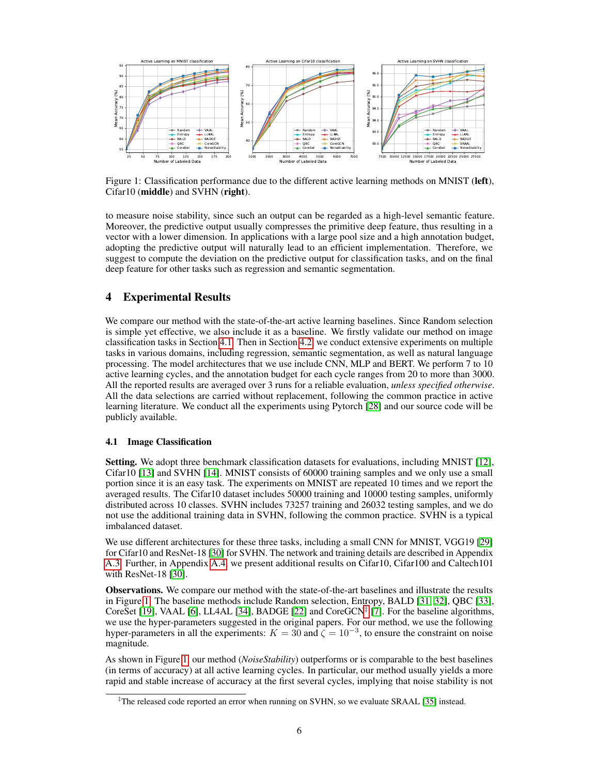

<span id="page-5-1"></span>Figure 1: Classification performance due to the different active learning methods on MNIST (left), Cifar10 (middle) and SVHN (right).

to measure noise stability, since such an output can be regarded as a high-level semantic feature. Moreover, the predictive output usually compresses the primitive deep feature, thus resulting in a vector with a lower dimension. In applications with a large pool size and a high annotation budget, adopting the predictive output will naturally lead to an efficient implementation. Therefore, we suggest to compute the deviation on the predictive output for classification tasks, and on the final deep feature for other tasks such as regression and semantic segmentation.

# 4 Experimental Results

We compare our method with the state-of-the-art active learning baselines. Since Random selection is simple yet effective, we also include it as a baseline. We firstly validate our method on image classification tasks in Section [4.1.](#page-5-0) Then in Section [4.2,](#page-6-0) we conduct extensive experiments on multiple tasks in various domains, including regression, semantic segmentation, as well as natural language processing. The model architectures that we use include CNN, MLP and BERT. We perform 7 to 10 active learning cycles, and the annotation budget for each cycle ranges from 20 to more than 3000. All the reported results are averaged over 3 runs for a reliable evaluation, *unless specified otherwise*. All the data selections are carried without replacement, following the common practice in active learning literature. We conduct all the experiments using Pytorch [\[28\]](#page-10-8) and our source code will be publicly available.

# <span id="page-5-0"></span>4.1 Image Classification

Setting. We adopt three benchmark classification datasets for evaluations, including MNIST [\[12\]](#page-9-11), Cifar10 [\[13\]](#page-9-12) and SVHN [\[14\]](#page-9-13). MNIST consists of 60000 training samples and we only use a small portion since it is an easy task. The experiments on MNIST are repeated 10 times and we report the averaged results. The Cifar10 dataset includes 50000 training and 10000 testing samples, uniformly distributed across 10 classes. SVHN includes 73257 training and 26032 testing samples, and we do not use the additional training data in SVHN, following the common practice. SVHN is a typical imbalanced dataset.

We use different architectures for these three tasks, including a small CNN for MNIST, VGG19 [\[29\]](#page-10-9) for Cifar10 and ResNet-18 [\[30\]](#page-10-10) for SVHN. The network and training details are described in Appendix [A.3.](#page-15-0) Further, in Appendix [A.4,](#page-16-0) we present additional results on Cifar10, Cifar100 and Caltech101 with ResNet-18 [\[30\]](#page-10-10).

Observations. We compare our method with the state-of-the-art baselines and illustrate the results in Figure [1.](#page-5-1) The baseline methods include Random selection, Entropy, BALD [\[31,](#page-10-11) [32\]](#page-10-12), QBC [\[33\]](#page-10-13), CoreSet [\[19\]](#page-9-18), VAAL [\[6\]](#page-9-5), LL4AL [\[34\]](#page-10-14), BADGE [\[22\]](#page-10-2) and CoreGCN<sup>[‡](#page-5-2)</sup> [\[7\]](#page-9-6). For the baseline algorithms, we use the hyper-parameters suggested in the original papers. For our method, we use the following hyper-parameters in all the experiments:  $K = 30$  and  $\zeta = 10^{-3}$ , to ensure the constraint on noise magnitude.

As shown in Figure [1,](#page-5-1) our method (*NoiseStability*) outperforms or is comparable to the best baselines (in terms of accuracy) at all active learning cycles. In particular, our method usually yields a more rapid and stable increase of accuracy at the first several cycles, implying that noise stability is not

<span id="page-5-2"></span><sup>‡</sup>The released code reported an error when running on SVHN, so we evaluate SRAAL [\[35\]](#page-10-15) instead.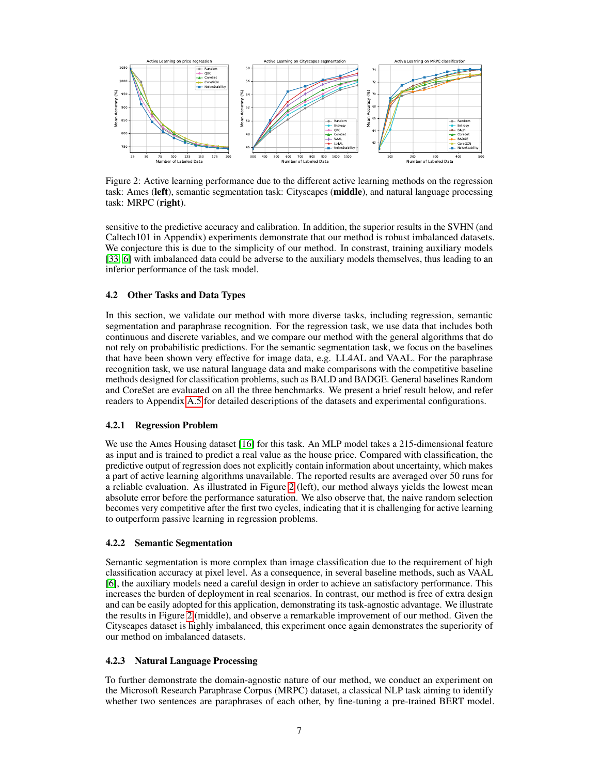

<span id="page-6-1"></span>Figure 2: Active learning performance due to the different active learning methods on the regression task: Ames (left), semantic segmentation task: Cityscapes (middle), and natural language processing task: MRPC (right).

sensitive to the predictive accuracy and calibration. In addition, the superior results in the SVHN (and Caltech101 in Appendix) experiments demonstrate that our method is robust imbalanced datasets. We conjecture this is due to the simplicity of our method. In constrast, training auxiliary models [\[33,](#page-10-13) [6\]](#page-9-5) with imbalanced data could be adverse to the auxiliary models themselves, thus leading to an inferior performance of the task model.

# <span id="page-6-0"></span>4.2 Other Tasks and Data Types

In this section, we validate our method with more diverse tasks, including regression, semantic segmentation and paraphrase recognition. For the regression task, we use data that includes both continuous and discrete variables, and we compare our method with the general algorithms that do not rely on probabilistic predictions. For the semantic segmentation task, we focus on the baselines that have been shown very effective for image data, e.g. LL4AL and VAAL. For the paraphrase recognition task, we use natural language data and make comparisons with the competitive baseline methods designed for classification problems, such as BALD and BADGE. General baselines Random and CoreSet are evaluated on all the three benchmarks. We present a brief result below, and refer readers to Appendix [A.5](#page-16-1) for detailed descriptions of the datasets and experimental configurations.

### 4.2.1 Regression Problem

We use the Ames Housing dataset [\[16\]](#page-9-15) for this task. An MLP model takes a 215-dimensional feature as input and is trained to predict a real value as the house price. Compared with classification, the predictive output of regression does not explicitly contain information about uncertainty, which makes a part of active learning algorithms unavailable. The reported results are averaged over 50 runs for a reliable evaluation. As illustrated in Figure [2](#page-6-1) (left), our method always yields the lowest mean absolute error before the performance saturation. We also observe that, the naive random selection becomes very competitive after the first two cycles, indicating that it is challenging for active learning to outperform passive learning in regression problems.

### 4.2.2 Semantic Segmentation

Semantic segmentation is more complex than image classification due to the requirement of high classification accuracy at pixel level. As a consequence, in several baseline methods, such as VAAL [\[6\]](#page-9-5), the auxiliary models need a careful design in order to achieve an satisfactory performance. This increases the burden of deployment in real scenarios. In contrast, our method is free of extra design and can be easily adopted for this application, demonstrating its task-agnostic advantage. We illustrate the results in Figure [2](#page-6-1) (middle), and observe a remarkable improvement of our method. Given the Cityscapes dataset is highly imbalanced, this experiment once again demonstrates the superiority of our method on imbalanced datasets.

### 4.2.3 Natural Language Processing

To further demonstrate the domain-agnostic nature of our method, we conduct an experiment on the Microsoft Research Paraphrase Corpus (MRPC) dataset, a classical NLP task aiming to identify whether two sentences are paraphrases of each other, by fine-tuning a pre-trained BERT model.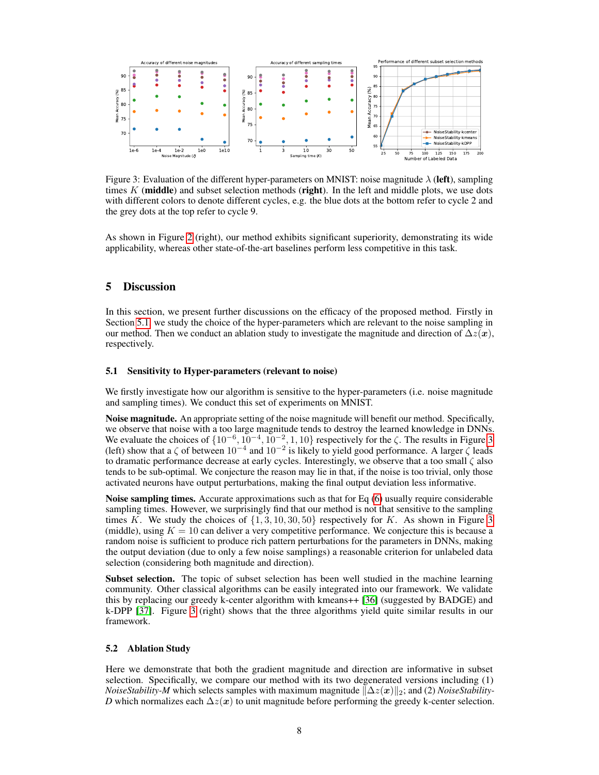

<span id="page-7-1"></span>Figure 3: Evaluation of the different hyper-parameters on MNIST: noise magnitude  $\lambda$  (left), sampling times  $K$  (middle) and subset selection methods (right). In the left and middle plots, we use dots with different colors to denote different cycles, e.g. the blue dots at the bottom refer to cycle 2 and the grey dots at the top refer to cycle 9.

As shown in Figure [2](#page-6-1) (right), our method exhibits significant superiority, demonstrating its wide applicability, whereas other state-of-the-art baselines perform less competitive in this task.

# 5 Discussion

In this section, we present further discussions on the efficacy of the proposed method. Firstly in Section [5.1,](#page-7-0) we study the choice of the hyper-parameters which are relevant to the noise sampling in our method. Then we conduct an ablation study to investigate the magnitude and direction of  $\Delta z(x)$ , respectively.

### <span id="page-7-0"></span>5.1 Sensitivity to Hyper-parameters (relevant to noise)

We firstly investigate how our algorithm is sensitive to the hyper-parameters (i.e. noise magnitude and sampling times). We conduct this set of experiments on MNIST.

Noise magnitude. An appropriate setting of the noise magnitude will benefit our method. Specifically, we observe that noise with a too large magnitude tends to destroy the learned knowledge in DNNs. We evaluate the choices of  $\{10^{-6}, 10^{-4}, 10^{-2}, 1, 10\}$  respectively for the  $\zeta$ . The results in Figure [3](#page-7-1) (left) show that a  $\zeta$  of between  $10^{-4}$  and  $10^{-2}$  is likely to yield good performance. A larger  $\zeta$  leads to dramatic performance decrease at early cycles. Interestingly, we observe that a too small  $\zeta$  also tends to be sub-optimal. We conjecture the reason may lie in that, if the noise is too trivial, only those activated neurons have output perturbations, making the final output deviation less informative.

**Noise sampling times.** Accurate approximations such as that for Eq  $(6)$  usually require considerable sampling times. However, we surprisingly find that our method is not that sensitive to the sampling times K. We study the choices of  $\{1, 3, 10, 30, 50\}$  $\{1, 3, 10, 30, 50\}$  $\{1, 3, 10, 30, 50\}$  respectively for K. As shown in Figure 3 (middle), using  $K = 10$  can deliver a very competitive performance. We conjecture this is because a random noise is sufficient to produce rich pattern perturbations for the parameters in DNNs, making the output deviation (due to only a few noise samplings) a reasonable criterion for unlabeled data selection (considering both magnitude and direction).

Subset selection. The topic of subset selection has been well studied in the machine learning community. Other classical algorithms can be easily integrated into our framework. We validate this by replacing our greedy k-center algorithm with kmeans++ [\[36\]](#page-10-16) (suggested by BADGE) and k-DPP [\[37\]](#page-10-17). Figure [3](#page-7-1) (right) shows that the three algorithms yield quite similar results in our framework.

### 5.2 Ablation Study

Here we demonstrate that both the gradient magnitude and direction are informative in subset selection. Specifically, we compare our method with its two degenerated versions including (1) *NoiseStability-M* which selects samples with maximum magnitude  $\|\Delta z(x)\|_2$ ; and (2) *NoiseStability-D* which normalizes each  $\Delta z(x)$  to unit magnitude before performing the greedy k-center selection.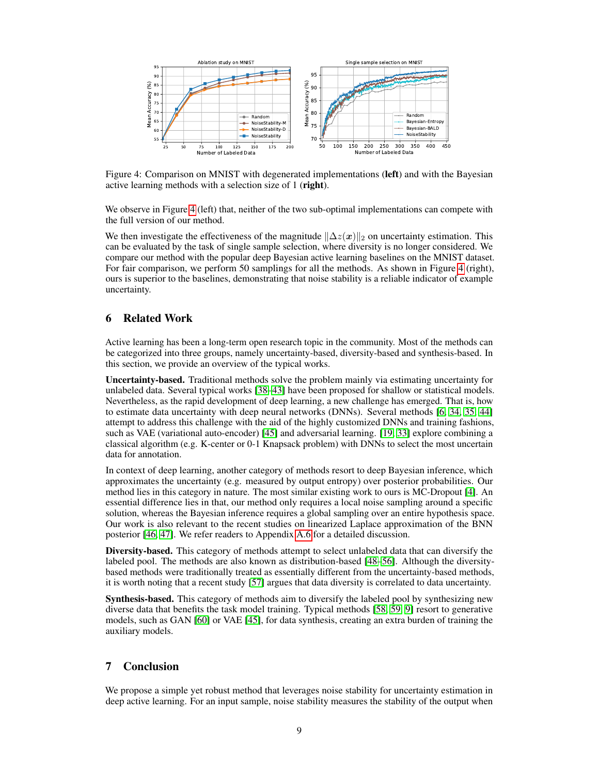

<span id="page-8-0"></span>Figure 4: Comparison on MNIST with degenerated implementations (left) and with the Bayesian active learning methods with a selection size of 1 (right).

We observe in Figure [4](#page-8-0) (left) that, neither of the two sub-optimal implementations can compete with the full version of our method.

We then investigate the effectiveness of the magnitude  $\|\Delta z(x)\|_2$  on uncertainty estimation. This can be evaluated by the task of single sample selection, where diversity is no longer considered. We compare our method with the popular deep Bayesian active learning baselines on the MNIST dataset. For fair comparison, we perform 50 samplings for all the methods. As shown in Figure [4](#page-8-0) (right), ours is superior to the baselines, demonstrating that noise stability is a reliable indicator of example uncertainty.

# 6 Related Work

Active learning has been a long-term open research topic in the community. Most of the methods can be categorized into three groups, namely uncertainty-based, diversity-based and synthesis-based. In this section, we provide an overview of the typical works.

Uncertainty-based. Traditional methods solve the problem mainly via estimating uncertainty for unlabeled data. Several typical works [\[38](#page-10-18)[–43\]](#page-11-0) have been proposed for shallow or statistical models. Nevertheless, as the rapid development of deep learning, a new challenge has emerged. That is, how to estimate data uncertainty with deep neural networks (DNNs). Several methods [\[6,](#page-9-5) [34,](#page-10-14) [35,](#page-10-15) [44\]](#page-11-1) attempt to address this challenge with the aid of the highly customized DNNs and training fashions, such as VAE (variational auto-encoder) [\[45\]](#page-11-2) and adversarial learning. [\[19,](#page-9-18) [33\]](#page-10-13) explore combining a classical algorithm (e.g. K-center or 0-1 Knapsack problem) with DNNs to select the most uncertain data for annotation.

In context of deep learning, another category of methods resort to deep Bayesian inference, which approximates the uncertainty (e.g. measured by output entropy) over posterior probabilities. Our method lies in this category in nature. The most similar existing work to ours is MC-Dropout [\[4\]](#page-9-3). An essential difference lies in that, our method only requires a local noise sampling around a specific solution, whereas the Bayesian inference requires a global sampling over an entire hypothesis space. Our work is also relevant to the recent studies on linearized Laplace approximation of the BNN posterior [\[46,](#page-11-3) [47\]](#page-11-4). We refer readers to Appendix [A.6](#page-17-0) for a detailed discussion.

Diversity-based. This category of methods attempt to select unlabeled data that can diversify the labeled pool. The methods are also known as distribution-based [\[48–](#page-11-5)[56\]](#page-11-6). Although the diversitybased methods were traditionally treated as essentially different from the uncertainty-based methods, it is worth noting that a recent study [\[57\]](#page-11-7) argues that data diversity is correlated to data uncertainty.

Synthesis-based. This category of methods aim to diversify the labeled pool by synthesizing new diverse data that benefits the task model training. Typical methods [\[58,](#page-11-8) [59,](#page-11-9) [9\]](#page-9-8) resort to generative models, such as GAN [\[60\]](#page-11-10) or VAE [\[45\]](#page-11-2), for data synthesis, creating an extra burden of training the auxiliary models.

# 7 Conclusion

We propose a simple yet robust method that leverages noise stability for uncertainty estimation in deep active learning. For an input sample, noise stability measures the stability of the output when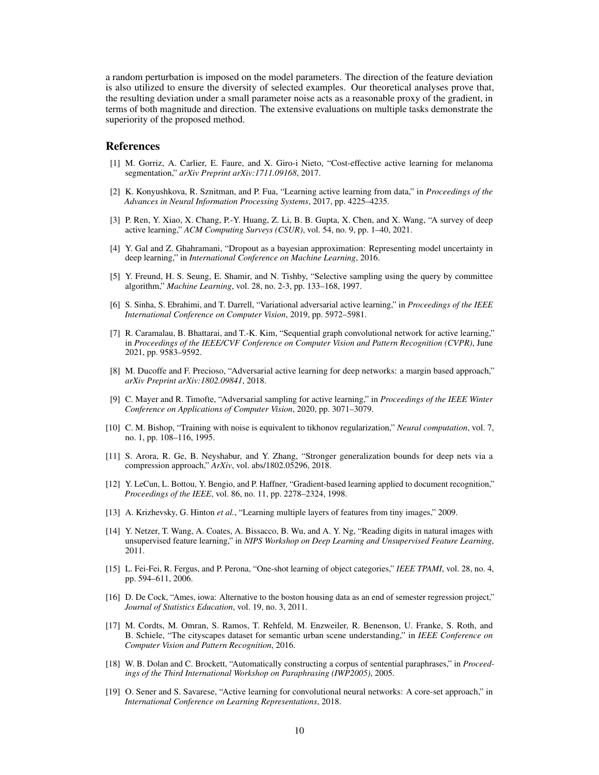a random perturbation is imposed on the model parameters. The direction of the feature deviation is also utilized to ensure the diversity of selected examples. Our theoretical analyses prove that, the resulting deviation under a small parameter noise acts as a reasonable proxy of the gradient, in terms of both magnitude and direction. The extensive evaluations on multiple tasks demonstrate the superiority of the proposed method.

### References

- <span id="page-9-0"></span>[1] M. Gorriz, A. Carlier, E. Faure, and X. Giro-i Nieto, "Cost-effective active learning for melanoma segmentation," *arXiv Preprint arXiv:1711.09168*, 2017.
- <span id="page-9-1"></span>[2] K. Konyushkova, R. Sznitman, and P. Fua, "Learning active learning from data," in *Proceedings of the Advances in Neural Information Processing Systems*, 2017, pp. 4225–4235.
- <span id="page-9-2"></span>[3] P. Ren, Y. Xiao, X. Chang, P.-Y. Huang, Z. Li, B. B. Gupta, X. Chen, and X. Wang, "A survey of deep active learning," *ACM Computing Surveys (CSUR)*, vol. 54, no. 9, pp. 1–40, 2021.
- <span id="page-9-3"></span>[4] Y. Gal and Z. Ghahramani, "Dropout as a bayesian approximation: Representing model uncertainty in deep learning," in *International Conference on Machine Learning*, 2016.
- <span id="page-9-4"></span>[5] Y. Freund, H. S. Seung, E. Shamir, and N. Tishby, "Selective sampling using the query by committee algorithm," *Machine Learning*, vol. 28, no. 2-3, pp. 133–168, 1997.
- <span id="page-9-5"></span>[6] S. Sinha, S. Ebrahimi, and T. Darrell, "Variational adversarial active learning," in *Proceedings of the IEEE International Conference on Computer Vision*, 2019, pp. 5972–5981.
- <span id="page-9-6"></span>[7] R. Caramalau, B. Bhattarai, and T.-K. Kim, "Sequential graph convolutional network for active learning," in *Proceedings of the IEEE/CVF Conference on Computer Vision and Pattern Recognition (CVPR)*, June 2021, pp. 9583–9592.
- <span id="page-9-7"></span>[8] M. Ducoffe and F. Precioso, "Adversarial active learning for deep networks: a margin based approach," *arXiv Preprint arXiv:1802.09841*, 2018.
- <span id="page-9-8"></span>[9] C. Mayer and R. Timofte, "Adversarial sampling for active learning," in *Proceedings of the IEEE Winter Conference on Applications of Computer Vision*, 2020, pp. 3071–3079.
- <span id="page-9-9"></span>[10] C. M. Bishop, "Training with noise is equivalent to tikhonov regularization," *Neural computation*, vol. 7, no. 1, pp. 108–116, 1995.
- <span id="page-9-10"></span>[11] S. Arora, R. Ge, B. Neyshabur, and Y. Zhang, "Stronger generalization bounds for deep nets via a compression approach," *ArXiv*, vol. abs/1802.05296, 2018.
- <span id="page-9-11"></span>[12] Y. LeCun, L. Bottou, Y. Bengio, and P. Haffner, "Gradient-based learning applied to document recognition," *Proceedings of the IEEE*, vol. 86, no. 11, pp. 2278–2324, 1998.
- <span id="page-9-12"></span>[13] A. Krizhevsky, G. Hinton *et al.*, "Learning multiple layers of features from tiny images," 2009.
- <span id="page-9-13"></span>[14] Y. Netzer, T. Wang, A. Coates, A. Bissacco, B. Wu, and A. Y. Ng, "Reading digits in natural images with unsupervised feature learning," in *NIPS Workshop on Deep Learning and Unsupervised Feature Learning*, 2011.
- <span id="page-9-14"></span>[15] L. Fei-Fei, R. Fergus, and P. Perona, "One-shot learning of object categories," *IEEE TPAMI*, vol. 28, no. 4, pp. 594–611, 2006.
- <span id="page-9-15"></span>[16] D. De Cock, "Ames, iowa: Alternative to the boston housing data as an end of semester regression project," *Journal of Statistics Education*, vol. 19, no. 3, 2011.
- <span id="page-9-16"></span>[17] M. Cordts, M. Omran, S. Ramos, T. Rehfeld, M. Enzweiler, R. Benenson, U. Franke, S. Roth, and B. Schiele, "The cityscapes dataset for semantic urban scene understanding," in *IEEE Conference on Computer Vision and Pattern Recognition*, 2016.
- <span id="page-9-17"></span>[18] W. B. Dolan and C. Brockett, "Automatically constructing a corpus of sentential paraphrases," in *Proceedings of the Third International Workshop on Paraphrasing (IWP2005)*, 2005.
- <span id="page-9-18"></span>[19] O. Sener and S. Savarese, "Active learning for convolutional neural networks: A core-set approach," in *International Conference on Learning Representations*, 2018.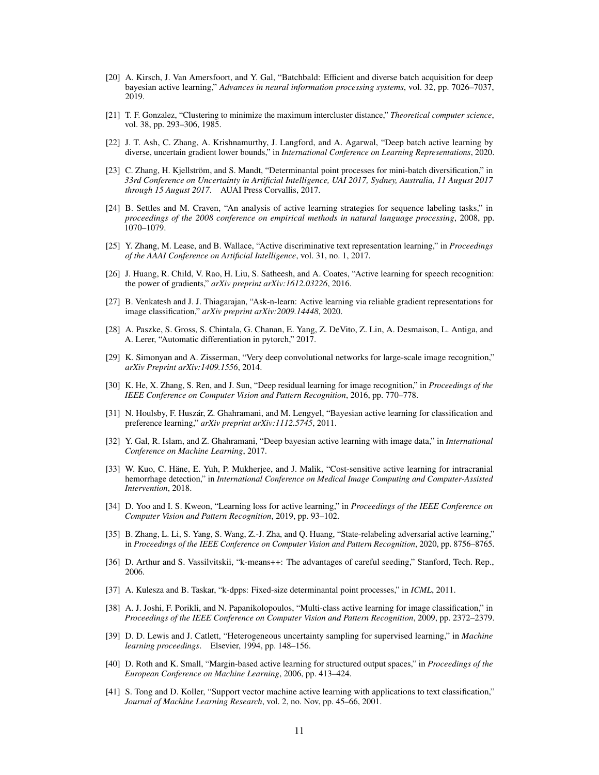- <span id="page-10-0"></span>[20] A. Kirsch, J. Van Amersfoort, and Y. Gal, "Batchbald: Efficient and diverse batch acquisition for deep bayesian active learning," *Advances in neural information processing systems*, vol. 32, pp. 7026–7037, 2019.
- <span id="page-10-1"></span>[21] T. F. Gonzalez, "Clustering to minimize the maximum intercluster distance," *Theoretical computer science*, vol. 38, pp. 293–306, 1985.
- <span id="page-10-2"></span>[22] J. T. Ash, C. Zhang, A. Krishnamurthy, J. Langford, and A. Agarwal, "Deep batch active learning by diverse, uncertain gradient lower bounds," in *International Conference on Learning Representations*, 2020.
- <span id="page-10-3"></span>[23] C. Zhang, H. Kjellström, and S. Mandt, "Determinantal point processes for mini-batch diversification," in *33rd Conference on Uncertainty in Artificial Intelligence, UAI 2017, Sydney, Australia, 11 August 2017 through 15 August 2017*. AUAI Press Corvallis, 2017.
- <span id="page-10-4"></span>[24] B. Settles and M. Craven, "An analysis of active learning strategies for sequence labeling tasks," in *proceedings of the 2008 conference on empirical methods in natural language processing*, 2008, pp. 1070–1079.
- <span id="page-10-5"></span>[25] Y. Zhang, M. Lease, and B. Wallace, "Active discriminative text representation learning," in *Proceedings of the AAAI Conference on Artificial Intelligence*, vol. 31, no. 1, 2017.
- <span id="page-10-6"></span>[26] J. Huang, R. Child, V. Rao, H. Liu, S. Satheesh, and A. Coates, "Active learning for speech recognition: the power of gradients," *arXiv preprint arXiv:1612.03226*, 2016.
- <span id="page-10-7"></span>[27] B. Venkatesh and J. J. Thiagarajan, "Ask-n-learn: Active learning via reliable gradient representations for image classification," *arXiv preprint arXiv:2009.14448*, 2020.
- <span id="page-10-8"></span>[28] A. Paszke, S. Gross, S. Chintala, G. Chanan, E. Yang, Z. DeVito, Z. Lin, A. Desmaison, L. Antiga, and A. Lerer, "Automatic differentiation in pytorch," 2017.
- <span id="page-10-9"></span>[29] K. Simonyan and A. Zisserman, "Very deep convolutional networks for large-scale image recognition," *arXiv Preprint arXiv:1409.1556*, 2014.
- <span id="page-10-10"></span>[30] K. He, X. Zhang, S. Ren, and J. Sun, "Deep residual learning for image recognition," in *Proceedings of the IEEE Conference on Computer Vision and Pattern Recognition*, 2016, pp. 770–778.
- <span id="page-10-11"></span>[31] N. Houlsby, F. Huszár, Z. Ghahramani, and M. Lengyel, "Bayesian active learning for classification and preference learning," *arXiv preprint arXiv:1112.5745*, 2011.
- <span id="page-10-12"></span>[32] Y. Gal, R. Islam, and Z. Ghahramani, "Deep bayesian active learning with image data," in *International Conference on Machine Learning*, 2017.
- <span id="page-10-13"></span>[33] W. Kuo, C. Häne, E. Yuh, P. Mukherjee, and J. Malik, "Cost-sensitive active learning for intracranial hemorrhage detection," in *International Conference on Medical Image Computing and Computer-Assisted Intervention*, 2018.
- <span id="page-10-14"></span>[34] D. Yoo and I. S. Kweon, "Learning loss for active learning," in *Proceedings of the IEEE Conference on Computer Vision and Pattern Recognition*, 2019, pp. 93–102.
- <span id="page-10-15"></span>[35] B. Zhang, L. Li, S. Yang, S. Wang, Z.-J. Zha, and Q. Huang, "State-relabeling adversarial active learning," in *Proceedings of the IEEE Conference on Computer Vision and Pattern Recognition*, 2020, pp. 8756–8765.
- <span id="page-10-16"></span>[36] D. Arthur and S. Vassilvitskii, "k-means++: The advantages of careful seeding," Stanford, Tech. Rep., 2006.
- <span id="page-10-17"></span>[37] A. Kulesza and B. Taskar, "k-dpps: Fixed-size determinantal point processes," in *ICML*, 2011.
- <span id="page-10-18"></span>[38] A. J. Joshi, F. Porikli, and N. Papanikolopoulos, "Multi-class active learning for image classification," in *Proceedings of the IEEE Conference on Computer Vision and Pattern Recognition*, 2009, pp. 2372–2379.
- [39] D. D. Lewis and J. Catlett, "Heterogeneous uncertainty sampling for supervised learning," in *Machine learning proceedings*. Elsevier, 1994, pp. 148–156.
- [40] D. Roth and K. Small, "Margin-based active learning for structured output spaces," in *Proceedings of the European Conference on Machine Learning*, 2006, pp. 413–424.
- [41] S. Tong and D. Koller, "Support vector machine active learning with applications to text classification," *Journal of Machine Learning Research*, vol. 2, no. Nov, pp. 45–66, 2001.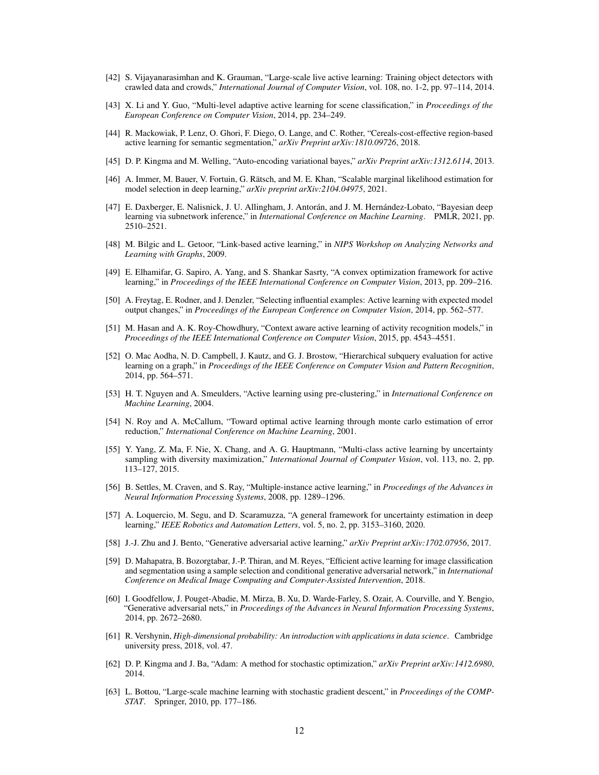- [42] S. Vijayanarasimhan and K. Grauman, "Large-scale live active learning: Training object detectors with crawled data and crowds," *International Journal of Computer Vision*, vol. 108, no. 1-2, pp. 97–114, 2014.
- <span id="page-11-0"></span>[43] X. Li and Y. Guo, "Multi-level adaptive active learning for scene classification," in *Proceedings of the European Conference on Computer Vision*, 2014, pp. 234–249.
- <span id="page-11-1"></span>[44] R. Mackowiak, P. Lenz, O. Ghori, F. Diego, O. Lange, and C. Rother, "Cereals-cost-effective region-based active learning for semantic segmentation," *arXiv Preprint arXiv:1810.09726*, 2018.
- <span id="page-11-2"></span>[45] D. P. Kingma and M. Welling, "Auto-encoding variational bayes," *arXiv Preprint arXiv:1312.6114*, 2013.
- <span id="page-11-3"></span>[46] A. Immer, M. Bauer, V. Fortuin, G. Rätsch, and M. E. Khan, "Scalable marginal likelihood estimation for model selection in deep learning," *arXiv preprint arXiv:2104.04975*, 2021.
- <span id="page-11-4"></span>[47] E. Daxberger, E. Nalisnick, J. U. Allingham, J. Antorán, and J. M. Hernández-Lobato, "Bayesian deep learning via subnetwork inference," in *International Conference on Machine Learning*. PMLR, 2021, pp. 2510–2521.
- <span id="page-11-5"></span>[48] M. Bilgic and L. Getoor, "Link-based active learning," in *NIPS Workshop on Analyzing Networks and Learning with Graphs*, 2009.
- [49] E. Elhamifar, G. Sapiro, A. Yang, and S. Shankar Sasrty, "A convex optimization framework for active learning," in *Proceedings of the IEEE International Conference on Computer Vision*, 2013, pp. 209–216.
- [50] A. Freytag, E. Rodner, and J. Denzler, "Selecting influential examples: Active learning with expected model output changes," in *Proceedings of the European Conference on Computer Vision*, 2014, pp. 562–577.
- [51] M. Hasan and A. K. Roy-Chowdhury, "Context aware active learning of activity recognition models," in *Proceedings of the IEEE International Conference on Computer Vision*, 2015, pp. 4543–4551.
- [52] O. Mac Aodha, N. D. Campbell, J. Kautz, and G. J. Brostow, "Hierarchical subquery evaluation for active learning on a graph," in *Proceedings of the IEEE Conference on Computer Vision and Pattern Recognition*, 2014, pp. 564–571.
- [53] H. T. Nguyen and A. Smeulders, "Active learning using pre-clustering," in *International Conference on Machine Learning*, 2004.
- [54] N. Roy and A. McCallum, "Toward optimal active learning through monte carlo estimation of error reduction," *International Conference on Machine Learning*, 2001.
- [55] Y. Yang, Z. Ma, F. Nie, X. Chang, and A. G. Hauptmann, "Multi-class active learning by uncertainty sampling with diversity maximization," *International Journal of Computer Vision*, vol. 113, no. 2, pp. 113–127, 2015.
- <span id="page-11-6"></span>[56] B. Settles, M. Craven, and S. Ray, "Multiple-instance active learning," in *Proceedings of the Advances in Neural Information Processing Systems*, 2008, pp. 1289–1296.
- <span id="page-11-7"></span>[57] A. Loquercio, M. Segu, and D. Scaramuzza, "A general framework for uncertainty estimation in deep learning," *IEEE Robotics and Automation Letters*, vol. 5, no. 2, pp. 3153–3160, 2020.
- <span id="page-11-8"></span>[58] J.-J. Zhu and J. Bento, "Generative adversarial active learning," *arXiv Preprint arXiv:1702.07956*, 2017.
- <span id="page-11-9"></span>[59] D. Mahapatra, B. Bozorgtabar, J.-P. Thiran, and M. Reyes, "Efficient active learning for image classification and segmentation using a sample selection and conditional generative adversarial network," in *International Conference on Medical Image Computing and Computer-Assisted Intervention*, 2018.
- <span id="page-11-10"></span>[60] I. Goodfellow, J. Pouget-Abadie, M. Mirza, B. Xu, D. Warde-Farley, S. Ozair, A. Courville, and Y. Bengio, "Generative adversarial nets," in *Proceedings of the Advances in Neural Information Processing Systems*, 2014, pp. 2672–2680.
- <span id="page-11-11"></span>[61] R. Vershynin, *High-dimensional probability: An introduction with applications in data science*. Cambridge university press, 2018, vol. 47.
- <span id="page-11-12"></span>[62] D. P. Kingma and J. Ba, "Adam: A method for stochastic optimization," *arXiv Preprint arXiv:1412.6980*, 2014.
- <span id="page-11-13"></span>[63] L. Bottou, "Large-scale machine learning with stochastic gradient descent," in *Proceedings of the COMP-STAT*. Springer, 2010, pp. 177–186.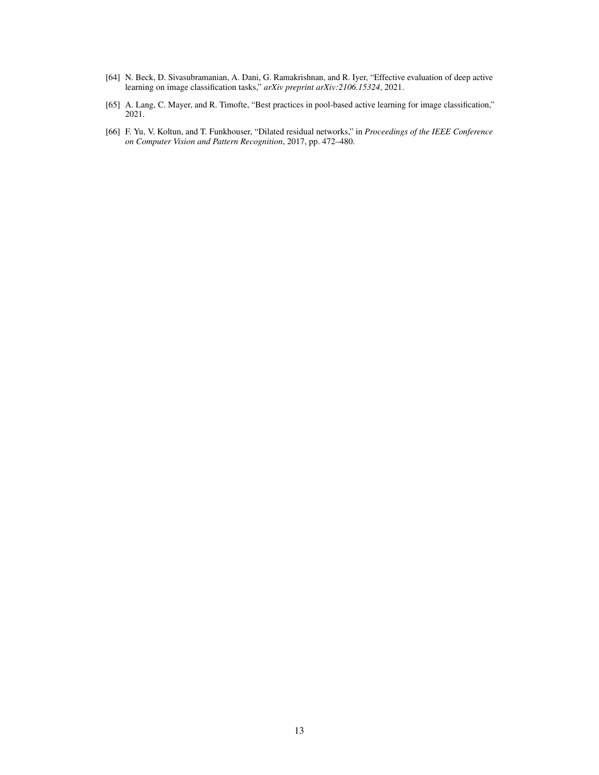- <span id="page-12-0"></span>[64] N. Beck, D. Sivasubramanian, A. Dani, G. Ramakrishnan, and R. Iyer, "Effective evaluation of deep active learning on image classification tasks," *arXiv preprint arXiv:2106.15324*, 2021.
- <span id="page-12-1"></span>[65] A. Lang, C. Mayer, and R. Timofte, "Best practices in pool-based active learning for image classification," 2021.
- <span id="page-12-2"></span>[66] F. Yu, V. Koltun, and T. Funkhouser, "Dilated residual networks," in *Proceedings of the IEEE Conference on Computer Vision and Pattern Recognition*, 2017, pp. 472–480.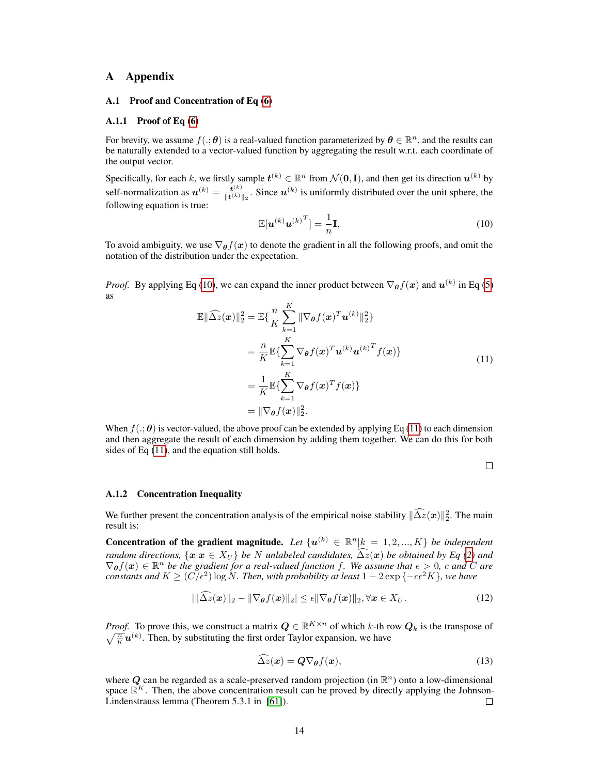### A Appendix

### <span id="page-13-0"></span>A.1 Proof and Concentration of Eq [\(6\)](#page-3-0)

#### A.1.1 Proof of Eq [\(6\)](#page-3-0)

For brevity, we assume  $f(.;\theta)$  is a real-valued function parameterized by  $\theta \in \mathbb{R}^n$ , and the results can be naturally extended to a vector-valued function by aggregating the result w.r.t. each coordinate of the output vector.

Specifically, for each k, we firstly sample  $t^{(k)} \in \mathbb{R}^n$  from  $\mathcal{N}(\mathbf{0}, \mathbf{I})$ , and then get its direction  $\mathbf{u}^{(k)}$  by self-normalization as  $u^{(k)} = \frac{t^{(k)}}{\|t^{(k)}\|}$  $\frac{t^{(k)}}{\|t^{(k)}\|_2}$ . Since  $u^{(k)}$  is uniformly distributed over the unit sphere, the following equation is true:

<span id="page-13-1"></span>
$$
\mathbb{E}[\boldsymbol{u}^{(k)}\boldsymbol{u}^{(k)}^T] = \frac{1}{n}\mathbf{I},\tag{10}
$$

To avoid ambiguity, we use  $\nabla_{\theta} f(x)$  to denote the gradient in all the following proofs, and omit the notation of the distribution under the expectation.

<span id="page-13-2"></span>*Proof.* By applying Eq [\(10\)](#page-13-1), we can expand the inner product between  $\nabla_{\theta} f(x)$  and  $u^{(k)}$  in Eq [\(5\)](#page-3-2) as

$$
\mathbb{E}\|\widehat{\Delta z}(\boldsymbol{x})\|_{2}^{2} = \mathbb{E}\{\frac{n}{K}\sum_{k=1}^{K}\|\nabla_{\boldsymbol{\theta}}f(\boldsymbol{x})^{T}\boldsymbol{u}^{(k)}\|_{2}^{2}\}
$$
\n
$$
= \frac{n}{K}\mathbb{E}\{\sum_{k=1}^{K}\nabla_{\boldsymbol{\theta}}f(\boldsymbol{x})^{T}\boldsymbol{u}^{(k)}\boldsymbol{u}^{(k)}^{T}f(\boldsymbol{x})\}
$$
\n
$$
= \frac{1}{K}\mathbb{E}\{\sum_{k=1}^{K}\nabla_{\boldsymbol{\theta}}f(\boldsymbol{x})^{T}f(\boldsymbol{x})\}
$$
\n
$$
= \|\nabla_{\boldsymbol{\theta}}f(\boldsymbol{x})\|_{2}^{2}.
$$
\n(11)

When  $f(.;\theta)$  is vector-valued, the above proof can be extended by applying Eq [\(11\)](#page-13-2) to each dimension and then aggregate the result of each dimension by adding them together. We can do this for both sides of Eq [\(11\)](#page-13-2), and the equation still holds.

<span id="page-13-3"></span> $\Box$ 

#### A.1.2 Concentration Inequality

We further present the concentration analysis of the empirical noise stability  $\|\Delta z(x)\|_2^2$ . The main result is:

**Concentration of the gradient magnitude.** Let  $\{u^{(k)} \in \mathbb{R}^n | k = 1, 2, ..., K\}$  be independent random directions,  $\{x | x \in X_U\}$  be N unlabeled candidates,  $\Delta z(x)$  be obtained by Eq [\(2\)](#page-2-2) and  $\nabla_{\theta} f(x) \in \mathbb{R}^n$  be the gradient for a real-valued function f. We assume that  $\epsilon > 0$ , c and C are *constants and*  $K \geq (C/\epsilon^2) \log N$ . Then, with probability at least  $1 - 2 \exp \{-c\epsilon^2 K\}$ , we have

$$
\left|\|\widehat{\Delta z}(\boldsymbol{x})\|_2-\|\nabla_{\boldsymbol{\theta}}f(\boldsymbol{x})\|_2\right|\leq \epsilon \|\nabla_{\boldsymbol{\theta}}f(\boldsymbol{x})\|_2, \forall \boldsymbol{x}\in X_U. \tag{12}
$$

*Proof.* To prove this, we construct a matrix  $Q \in \mathbb{R}^{K \times n}$  of which k-th row  $Q_k$  is the transpose of  $\sqrt{\frac{n}{K}}u^{(k)}$ . Then, by substituting the first order Taylor expansion, we have

$$
\widehat{\Delta z}(x) = Q \nabla_{\theta} f(x),\tag{13}
$$

where Q can be regarded as a scale-preserved random projection (in  $\mathbb{R}^n$ ) onto a low-dimensional space  $\mathbb{R}^K$ . Then, the above concentration result can be proved by directly applying the Johnson-Lindenstrauss lemma (Theorem 5.3.1 in [\[61\]](#page-11-11)). □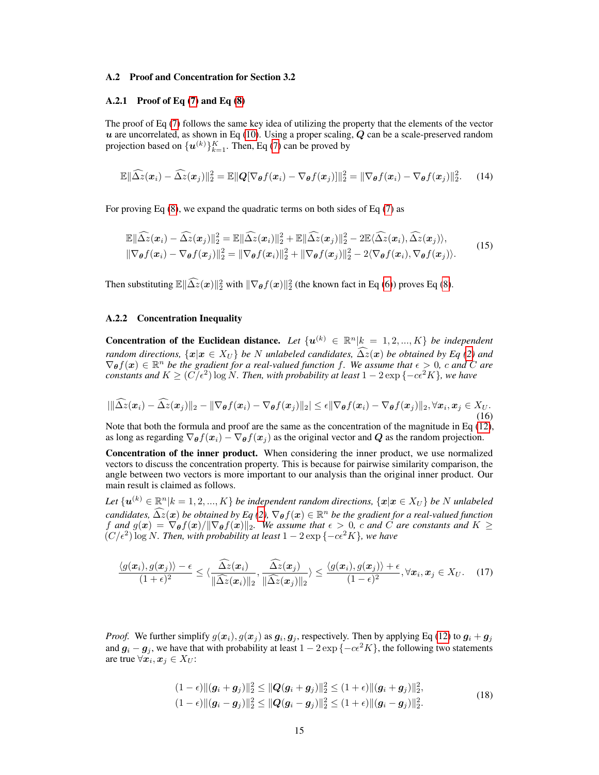### <span id="page-14-0"></span>A.2 Proof and Concentration for Section 3.2

## A.2.1 Proof of Eq  $(7)$  and Eq  $(8)$

The proof of Eq [\(7\)](#page-4-1) follows the same key idea of utilizing the property that the elements of the vector  $u$  are uncorrelated, as shown in Eq [\(10\)](#page-13-1). Using a proper scaling,  $Q$  can be a scale-preserved random projection based on  $\{\boldsymbol{u}^{(k)}\}_{k=1}^K$ . Then, Eq [\(7\)](#page-4-1) can be proved by

$$
\mathbb{E} \|\widehat{\Delta z}(\boldsymbol{x}_i) - \widehat{\Delta z}(\boldsymbol{x}_j)\|_2^2 = \mathbb{E} \|\boldsymbol{Q}[\nabla_{\boldsymbol{\theta}}f(\boldsymbol{x}_i) - \nabla_{\boldsymbol{\theta}}f(\boldsymbol{x}_j)]\|_2^2 = \|\nabla_{\boldsymbol{\theta}}f(\boldsymbol{x}_i) - \nabla_{\boldsymbol{\theta}}f(\boldsymbol{x}_j)\|_2^2. \tag{14}
$$

For proving Eq [\(8\)](#page-4-2), we expand the quadratic terms on both sides of Eq [\(7\)](#page-4-1) as

$$
\mathbb{E} \|\widehat{\Delta z}(\boldsymbol{x}_i) - \widehat{\Delta z}(\boldsymbol{x}_j)\|_2^2 = \mathbb{E} \|\widehat{\Delta z}(\boldsymbol{x}_i)\|_2^2 + \mathbb{E} \|\widehat{\Delta z}(\boldsymbol{x}_j)\|_2^2 - 2 \mathbb{E} \langle \widehat{\Delta z}(\boldsymbol{x}_i), \widehat{\Delta z}(\boldsymbol{x}_j) \rangle, \|\nabla_{\boldsymbol{\theta}} f(\boldsymbol{x}_i) - \nabla_{\boldsymbol{\theta}} f(\boldsymbol{x}_j)\|_2^2 = \|\nabla_{\boldsymbol{\theta}} f(\boldsymbol{x}_i)\|_2^2 + \|\nabla_{\boldsymbol{\theta}} f(\boldsymbol{x}_j)\|_2^2 - 2 \langle \nabla_{\boldsymbol{\theta}} f(\boldsymbol{x}_i), \nabla_{\boldsymbol{\theta}} f(\boldsymbol{x}_j) \rangle.
$$
\n(15)

Then substituting  $\mathbb{E} \|\widehat{\Delta z}(x)\|_2^2$  with  $\|\nabla_{\theta} f(x)\|_2^2$  (the known fact in Eq [\(6\)](#page-3-0)) proves Eq [\(8\)](#page-4-2).

# A.2.2 Concentration Inequality

**Concentration of the Euclidean distance.** Let  $\{u^{(k)} \in \mathbb{R}^n | k = 1, 2, ..., K\}$  be independent *random directions,*  $\{x | x \in X_U\}$  *be* N *unlabeled candidates,*  $\widehat{\Delta z}(x)$  *be obtained by* Eq [\(2\)](#page-2-2) and  $\nabla_{\theta} f(x) \in \mathbb{R}^n$  be the gradient for a real-valued function f. We assume that  $\epsilon > 0$ , c and C are *constants and*  $K \geq (C/\epsilon^2) \log N$ . Then, with probability at least  $1 - 2 \exp \{-c\epsilon^2 K\}$ , we have

$$
|\|\widehat{\Delta z}(\boldsymbol{x}_i)-\widehat{\Delta z}(\boldsymbol{x}_j)\|_2-\|\nabla_{\boldsymbol{\theta}}f(\boldsymbol{x}_i)-\nabla_{\boldsymbol{\theta}}f(\boldsymbol{x}_j)\|_2|\leq \epsilon \|\nabla_{\boldsymbol{\theta}}f(\boldsymbol{x}_i)-\nabla_{\boldsymbol{\theta}}f(\boldsymbol{x}_j)\|_2, \forall \boldsymbol{x}_i, \boldsymbol{x}_j \in X_U.
$$
\n(16)

Note that both the formula and proof are the same as the concentration of the magnitude in Eq [\(12\)](#page-13-3), as long as regarding  $\nabla_{\theta} f(x_i) - \nabla_{\theta} f(x_i)$  as the original vector and Q as the random projection.

Concentration of the inner product. When considering the inner product, we use normalized vectors to discuss the concentration property. This is because for pairwise similarity comparison, the angle between two vectors is more important to our analysis than the original inner product. Our main result is claimed as follows.

 $Let \{ \bm u^{(k)} \in \mathbb{R}^n | k = 1, 2, ..., K \}$  *be independent random directions,*  $\{ \bm x | \bm x \in X_U \}$  *be* N *unlabeled candidates,*  $\widehat{\Delta z}(x)$  *be obtained by Eq* [\(2\)](#page-2-2),  $\nabla_{\theta} f(x) \in \mathbb{R}^n$  *be the gradient for a real-valued function*<br> $f_{\theta}$  and  $g(x) \geq f(x) / |\nabla f(x)|^n$ . We assume that  $\alpha > 0$  a such  $G$  are a supportant and  $V$ . f and  $g(x) = \nabla_{\theta} f(x)/\|\nabla_{\theta} f(x)\|_2$ . We assume that  $\epsilon > 0$ , c and C are constants and  $K \geq 0$  $(C/\epsilon^2)$  log *N*. Then, with probability at least  $1 - 2 \exp(-c\epsilon^2 K)$ , we have

$$
\frac{\langle g(\boldsymbol{x}_i), g(\boldsymbol{x}_j) \rangle - \epsilon}{(1+\epsilon)^2} \le \langle \frac{\widehat{\Delta z}(\boldsymbol{x}_i)}{\|\widehat{\Delta z}(\boldsymbol{x}_i)\|_2}, \frac{\widehat{\Delta z}(\boldsymbol{x}_j)}{\|\widehat{\Delta z}(\boldsymbol{x}_j)\|_2} \rangle \le \frac{\langle g(\boldsymbol{x}_i), g(\boldsymbol{x}_j) \rangle + \epsilon}{(1-\epsilon)^2}, \forall \boldsymbol{x}_i, \boldsymbol{x}_j \in X_U. \quad (17)
$$

*Proof.* We further simplify  $g(x_i)$ ,  $g(x_j)$  as  $g_i$ ,  $g_j$ , respectively. Then by applying Eq [\(12\)](#page-13-3) to  $g_i + g_j$ and  $g_i - g_j$ , we have that with probability at least  $1 - 2 \exp\{-c\epsilon^2 K\}$ , the following two statements are true  $\forall x_i, x_j \in X_U$ :

<span id="page-14-1"></span>
$$
(1 - \epsilon) \| (g_i + g_j) \|_2^2 \le \| Q(g_i + g_j) \|_2^2 \le (1 + \epsilon) \| (g_i + g_j) \|_2^2,
$$
  
\n
$$
(1 - \epsilon) \| (g_i - g_j) \|_2^2 \le \| Q(g_i - g_j) \|_2^2 \le (1 + \epsilon) \| (g_i - g_j) \|_2^2.
$$
\n
$$
(18)
$$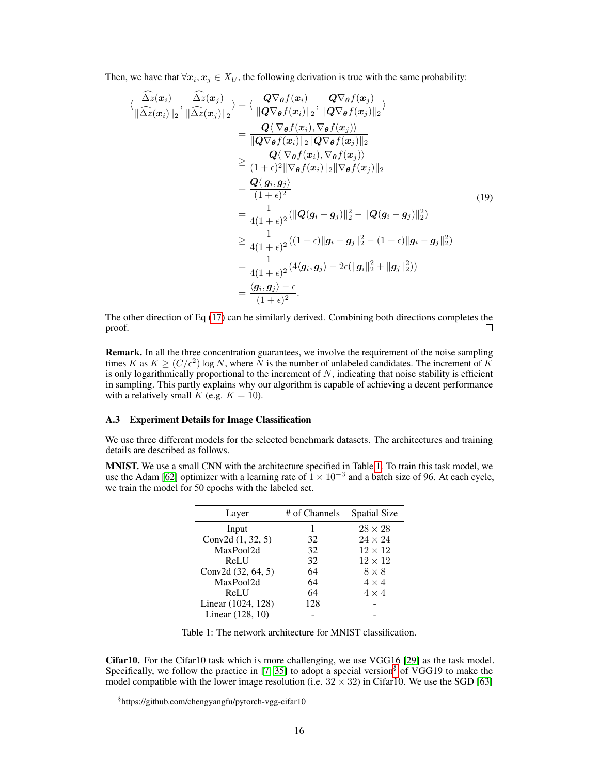Then, we have that  $\forall x_i, x_j \in X_U$ , the following derivation is true with the same probability:

$$
\langle \frac{\Delta z(x_i)}{\|\widehat{\Delta z}(x_i)\|_2}, \frac{\Delta z(x_j)}{\|\widehat{\Delta z}(x_j)\|_2} \rangle = \langle \frac{\mathbf{Q} \nabla_{\theta} f(x_i)}{\|\mathbf{Q} \nabla_{\theta} f(x_i)\|_2}, \frac{\mathbf{Q} \nabla_{\theta} f(x_j)}{\|\mathbf{Q} \nabla_{\theta} f(x_j)\|_2} \rangle
$$
  
\n
$$
= \frac{\mathbf{Q} \langle \nabla_{\theta} f(x_i), \nabla_{\theta} f(x_j) \rangle}{\|\mathbf{Q} \nabla_{\theta} f(x_i)\|_2 \|\mathbf{Q} \nabla_{\theta} f(x_j)\|_2}
$$
  
\n
$$
\geq \frac{\mathbf{Q} \langle \nabla_{\theta} f(x_i), \nabla_{\theta} f(x_j) \rangle}{(1 + \epsilon)^2 \|\nabla_{\theta} f(x_i)\|_2 \|\nabla_{\theta} f(x_j)\|_2}
$$
  
\n
$$
= \frac{\mathbf{Q} \langle g_i, g_j \rangle}{(1 + \epsilon)^2}
$$
  
\n
$$
\geq \frac{1}{4(1 + \epsilon)^2} (\|\mathbf{Q}(g_i + g_j)\|_2^2 - \|\mathbf{Q}(g_i - g_j)\|_2^2)
$$
  
\n
$$
\geq \frac{1}{4(1 + \epsilon)^2} ((1 - \epsilon) \|g_i + g_j\|_2^2 - (1 + \epsilon) \|g_i - g_j\|_2^2)
$$
  
\n
$$
= \frac{1}{4(1 + \epsilon)^2} (4\langle g_i, g_j \rangle - 2\epsilon (\|g_i\|_2^2 + \|g_j\|_2^2))
$$
  
\n
$$
= \frac{\langle g_i, g_j \rangle - \epsilon}{(1 + \epsilon)^2}.
$$
 (19)

The other direction of Eq [\(17\)](#page-14-1) can be similarly derived. Combining both directions completes the proof.  $\Box$ 

Remark. In all the three concentration guarantees, we involve the requirement of the noise sampling times K as  $K \ge (C/\epsilon^2) \log N$ , where N is the number of unlabeled candidates. The increment of K is only logarithmically proportional to the increment of  $N$ , indicating that noise stability is efficient in sampling. This partly explains why our algorithm is capable of achieving a decent performance with a relatively small K (e.g.  $K = 10$ ).

### <span id="page-15-0"></span>A.3 Experiment Details for Image Classification

We use three different models for the selected benchmark datasets. The architectures and training details are described as follows.

MNIST. We use a small CNN with the architecture specified in Table [1.](#page-15-1) To train this task model, we use the Adam [\[62\]](#page-11-12) optimizer with a learning rate of  $1 \times 10^{-3}$  and a batch size of 96. At each cycle, we train the model for 50 epochs with the labeled set.

| Layer              | # of Channels | <b>Spatial Size</b> |
|--------------------|---------------|---------------------|
| Input              |               | $28 \times 28$      |
| Conv2d (1, 32, 5)  | 32            | $24 \times 24$      |
| MaxPool2d          | 32            | $12 \times 12$      |
| ReLU               | 32            | $12 \times 12$      |
| Conv2d (32, 64, 5) | 64            | $8 \times 8$        |
| MaxPool2d          | 64            | $4 \times 4$        |
| ReLU               | 64            | $4 \times 4$        |
| Linear (1024, 128) | 128           |                     |
| Linear (128, 10)   |               |                     |

<span id="page-15-1"></span>Table 1: The network architecture for MNIST classification.

Cifar10. For the Cifar10 task which is more challenging, we use VGG16 [\[29\]](#page-10-9) as the task model. Specifically, we follow the practice in [\[7,](#page-9-6) [35\]](#page-10-15) to adopt a special version<sup>[§](#page-15-2)</sup> of VGG19 to make the model compatible with the lower image resolution (i.e.  $32 \times 32$ ) in Cifar10. We use the SGD [\[63\]](#page-11-13)

<span id="page-15-2"></span><sup>§</sup> https://github.com/chengyangfu/pytorch-vgg-cifar10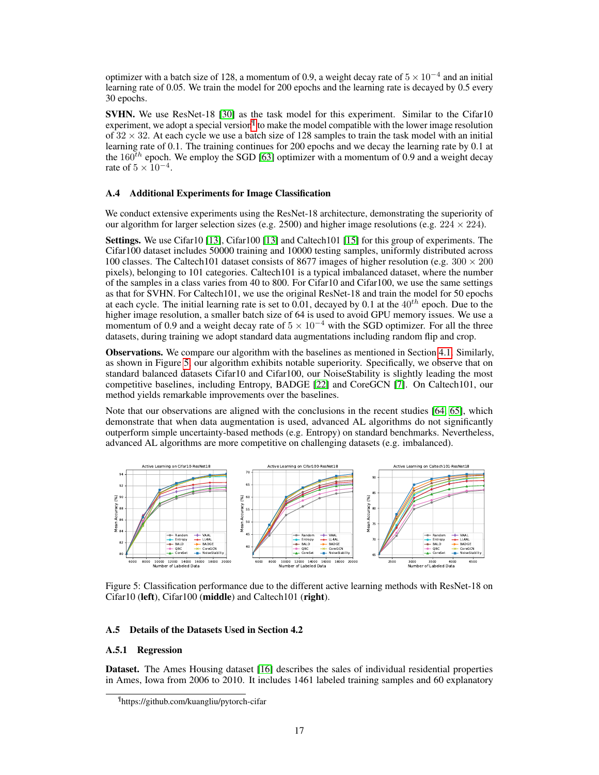optimizer with a batch size of 128, a momentum of 0.9, a weight decay rate of  $5 \times 10^{-4}$  and an initial learning rate of 0.05. We train the model for 200 epochs and the learning rate is decayed by 0.5 every 30 epochs.

SVHN. We use ResNet-18 [\[30\]](#page-10-10) as the task model for this experiment. Similar to the Cifar10 experiment, we adopt a special version $\mathbb{I}$  to make the model compatible with the lower image resolution of  $32 \times 32$ . At each cycle we use a batch size of 128 samples to train the task model with an initial learning rate of 0.1. The training continues for 200 epochs and we decay the learning rate by 0.1 at the 160<sup>th</sup> epoch. We employ the SGD [\[63\]](#page-11-13) optimizer with a momentum of 0.9 and a weight decay rate of  $5 \times 10^{-4}$ .

### <span id="page-16-0"></span>A.4 Additional Experiments for Image Classification

We conduct extensive experiments using the ResNet-18 architecture, demonstrating the superiority of our algorithm for larger selection sizes (e.g. 2500) and higher image resolutions (e.g.  $224 \times 224$ ).

Settings. We use Cifar10 [\[13\]](#page-9-12), Cifar100 [13] and Caltech101 [\[15\]](#page-9-14) for this group of experiments. The Cifar100 dataset includes 50000 training and 10000 testing samples, uniformly distributed across 100 classes. The Caltech101 dataset consists of 8677 images of higher resolution (e.g.  $300 \times 200$ ) pixels), belonging to 101 categories. Caltech101 is a typical imbalanced dataset, where the number of the samples in a class varies from 40 to 800. For Cifar10 and Cifar100, we use the same settings as that for SVHN. For Caltech101, we use the original ResNet-18 and train the model for 50 epochs at each cycle. The initial learning rate is set to  $0.01$ , decayed by 0.1 at the 40<sup>th</sup> epoch. Due to the higher image resolution, a smaller batch size of 64 is used to avoid GPU memory issues. We use a momentum of 0.9 and a weight decay rate of  $5 \times 10^{-4}$  with the SGD optimizer. For all the three datasets, during training we adopt standard data augmentations including random flip and crop.

Observations. We compare our algorithm with the baselines as mentioned in Section [4.1.](#page-5-0) Similarly, as shown in Figure [5,](#page-16-3) our algorithm exhibits notable superiority. Specifically, we observe that on standard balanced datasets Cifar10 and Cifar100, our NoiseStability is slightly leading the most competitive baselines, including Entropy, BADGE [\[22\]](#page-10-2) and CoreGCN [\[7\]](#page-9-6). On Caltech101, our method yields remarkable improvements over the baselines.

Note that our observations are aligned with the conclusions in the recent studies [\[64,](#page-12-0) [65\]](#page-12-1), which demonstrate that when data augmentation is used, advanced AL algorithms do not significantly outperform simple uncertainty-based methods (e.g. Entropy) on standard benchmarks. Nevertheless, advanced AL algorithms are more competitive on challenging datasets (e.g. imbalanced).



<span id="page-16-3"></span>Figure 5: Classification performance due to the different active learning methods with ResNet-18 on Cifar10 (left), Cifar100 (middle) and Caltech101 (right).

#### <span id="page-16-1"></span>A.5 Details of the Datasets Used in Section 4.2

### A.5.1 Regression

Dataset. The Ames Housing dataset [\[16\]](#page-9-15) describes the sales of individual residential properties in Ames, Iowa from 2006 to 2010. It includes 1461 labeled training samples and 60 explanatory

<span id="page-16-2"></span><sup>¶</sup> https://github.com/kuangliu/pytorch-cifar